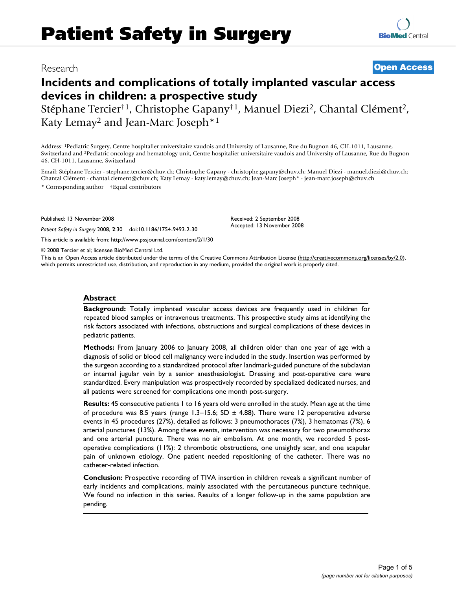# Research **[Open Access](http://www.biomedcentral.com/info/about/charter/)**

# **Incidents and complications of totally implanted vascular access devices in children: a prospective study**

Stéphane Tercier<sup>†1</sup>, Christophe Gapany<sup>†1</sup>, Manuel Diezi<sup>2</sup>, Chantal Clément<sup>2</sup>, Katy Lemay2 and Jean-Marc Joseph\*1

Address: 1Pediatric Surgery, Centre hospitalier universitaire vaudois and University of Lausanne, Rue du Bugnon 46, CH-1011, Lausanne, Switzerland and 2Pediatric oncology and hematology unit, Centre hospitalier universitaire vaudois and University of Lausanne, Rue du Bugnon 46, CH-1011, Lausanne, Switzerland

Email: Stéphane Tercier - stephane.tercier@chuv.ch; Christophe Gapany - christophe.gapany@chuv.ch; Manuel Diezi - manuel.diezi@chuv.ch; Chantal Clément - chantal.clement@chuv.ch; Katy Lemay - katy.lemay@chuv.ch; Jean-Marc Joseph\* - jean-marc.joseph@chuv.ch \* Corresponding author †Equal contributors

> Received: 2 September 2008 Accepted: 13 November 2008

Published: 13 November 2008

*Patient Safety in Surgery* 2008, **2**:30 doi:10.1186/1754-9493-2-30

[This article is available from: http://www.pssjournal.com/content/2/1/30](http://www.pssjournal.com/content/2/1/30)

© 2008 Tercier et al; licensee BioMed Central Ltd.

This is an Open Access article distributed under the terms of the Creative Commons Attribution License [\(http://creativecommons.org/licenses/by/2.0\)](http://creativecommons.org/licenses/by/2.0), which permits unrestricted use, distribution, and reproduction in any medium, provided the original work is properly cited.

#### **Abstract**

**Background:** Totally implanted vascular access devices are frequently used in children for repeated blood samples or intravenous treatments. This prospective study aims at identifying the risk factors associated with infections, obstructions and surgical complications of these devices in pediatric patients.

**Methods:** From January 2006 to January 2008, all children older than one year of age with a diagnosis of solid or blood cell malignancy were included in the study. Insertion was performed by the surgeon according to a standardized protocol after landmark-guided puncture of the subclavian or internal jugular vein by a senior anesthesiologist. Dressing and post-operative care were standardized. Every manipulation was prospectively recorded by specialized dedicated nurses, and all patients were screened for complications one month post-surgery.

**Results:** 45 consecutive patients 1 to 16 years old were enrolled in the study. Mean age at the time of procedure was 8.5 years (range  $1.3-15.6$ ; SD  $\pm$  4.88). There were 12 peroperative adverse events in 45 procedures (27%), detailed as follows: 3 pneumothoraces (7%), 3 hematomas (7%), 6 arterial punctures (13%). Among these events, intervention was necessary for two pneumothorax and one arterial puncture. There was no air embolism. At one month, we recorded 5 postoperative complications (11%): 2 thrombotic obstructions, one unsightly scar, and one scapular pain of unknown etiology. One patient needed repositioning of the catheter. There was no catheter-related infection.

**Conclusion:** Prospective recording of TIVA insertion in children reveals a significant number of early incidents and complications, mainly associated with the percutaneous puncture technique. We found no infection in this series. Results of a longer follow-up in the same population are pending.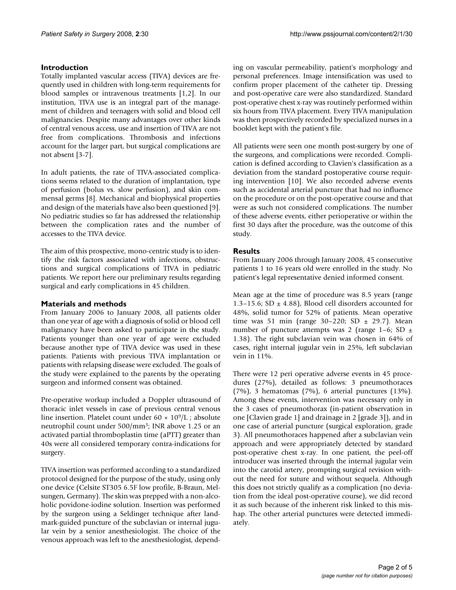# **Introduction**

Totally implanted vascular access (TIVA) devices are frequently used in children with long-term requirements for blood samples or intravenous treatments [1,2]. In our institution, TIVA use is an integral part of the management of children and teenagers with solid and blood cell malignancies. Despite many advantages over other kinds of central venous access, use and insertion of TIVA are not free from complications. Thrombosis and infections account for the larger part, but surgical complications are not absent [3-7].

In adult patients, the rate of TIVA-associated complications seems related to the duration of implantation, type of perfusion (bolus vs. slow perfusion), and skin commensal germs [8]. Mechanical and biophysical properties and design of the materials have also been questioned [9]. No pediatric studies so far has addressed the relationship between the complication rates and the number of accesses to the TIVA device.

The aim of this prospective, mono-centric study is to identify the risk factors associated with infections, obstructions and surgical complications of TIVA in pediatric patients. We report here our preliminary results regarding surgical and early complications in 45 children.

# **Materials and methods**

From January 2006 to January 2008, all patients older than one year of age with a diagnosis of solid or blood cell malignancy have been asked to participate in the study. Patients younger than one year of age were excluded because another type of TIVA device was used in these patients. Patients with previous TIVA implantation or patients with relapsing disease were excluded. The goals of the study were explained to the parents by the operating surgeon and informed consent was obtained.

Pre-operative workup included a Doppler ultrasound of thoracic inlet vessels in case of previous central venous line insertion. Platelet count under  $60 \times 10^9/L$ ; absolute neutrophil count under 500/mm3; INR above 1.25 or an activated partial thromboplastin time (aPTT) greater than 40s were all considered temporary contra-indications for surgery.

TIVA insertion was performed according to a standardized protocol designed for the purpose of the study, using only one device (Celsite ST305 6.5F low profile, B-Braun, Melsungen, Germany). The skin was prepped with a non-alcoholic povidone-iodine solution. Insertion was performed by the surgeon using a Seldinger technique after landmark-guided puncture of the subclavian or internal jugular vein by a senior anesthesiologist. The choice of the venous approach was left to the anesthesiologist, depending on vascular permeability, patient's morphology and personal preferences. Image intensification was used to confirm proper placement of the catheter tip. Dressing and post-operative care were also standardized. Standard post-operative chest x-ray was routinely performed within six hours from TIVA placement. Every TIVA manipulation was then prospectively recorded by specialized nurses in a booklet kept with the patient's file.

All patients were seen one month post-surgery by one of the surgeons, and complications were recorded. Complication is defined according to Clavien's classification as a deviation from the standard postoperative course requiring intervention [10]. We also recorded adverse events such as accidental arterial puncture that had no influence on the procedure or on the post-operative course and that were as such not considered complications. The number of these adverse events, either perioperative or within the first 30 days after the procedure, was the outcome of this study.

# **Results**

From January 2006 through January 2008, 45 consecutive patients 1 to 16 years old were enrolled in the study. No patient's legal representative denied informed consent.

Mean age at the time of procedure was 8.5 years (range 1.3–15.6; SD  $\pm$  4.88), Blood cell disorders accounted for 48%, solid tumor for 52% of patients. Mean operative time was 51 min (range 30–220; SD  $\pm$  29.7). Mean number of puncture attempts was 2 (range  $1-6$ ; SD  $\pm$ 1.38). The right subclavian vein was chosen in 64% of cases, right internal jugular vein in 25%, left subclavian vein in 11%.

There were 12 peri operative adverse events in 45 procedures (27%), detailed as follows: 3 pneumothoraces (7%), 3 hematomas (7%), 6 arterial punctures (13%). Among these events, intervention was necessary only in the 3 cases of pneumothorax (in-patient observation in one [Clavien grade 1] and drainage in 2 [grade 3]), and in one case of arterial puncture (surgical exploration, grade 3). All pneumothoraces happened after a subclavian vein approach and were appropriately detected by standard post-operative chest x-ray. In one patient, the peel-off introducer was inserted through the internal jugular vein into the carotid artery, prompting surgical revision without the need for suture and without sequela. Although this does not strictly qualify as a complication (no deviation from the ideal post-operative course), we did record it as such because of the inherent risk linked to this mishap. The other arterial punctures were detected immediately.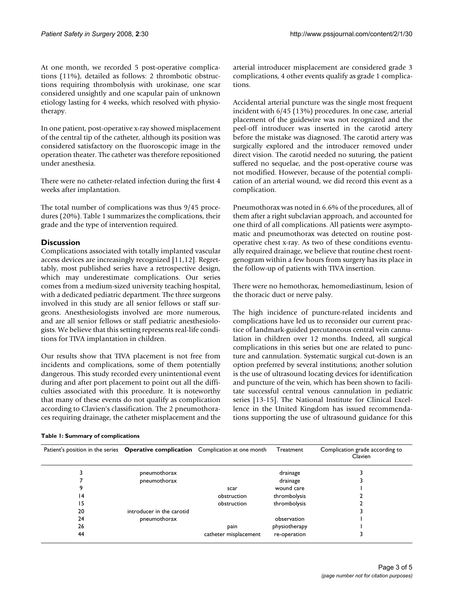At one month, we recorded 5 post-operative complications (11%), detailed as follows: 2 thrombotic obstructions requiring thrombolysis with urokinase, one scar considered unsightly and one scapular pain of unknown etiology lasting for 4 weeks, which resolved with physiotherapy.

In one patient, post-operative x-ray showed misplacement of the central tip of the catheter, although its position was considered satisfactory on the fluoroscopic image in the operation theater. The catheter was therefore repositioned under anesthesia.

There were no catheter-related infection during the first 4 weeks after implantation.

The total number of complications was thus 9/45 procedures (20%). Table 1 summarizes the complications, their grade and the type of intervention required.

# **Discussion**

Complications associated with totally implanted vascular access devices are increasingly recognized [11,12]. Regrettably, most published series have a retrospective design, which may underestimate complications. Our series comes from a medium-sized university teaching hospital, with a dedicated pediatric department. The three surgeons involved in this study are all senior fellows or staff surgeons. Anesthesiologists involved are more numerous, and are all senior fellows or staff pediatric anesthesiologists. We believe that this setting represents real-life conditions for TIVA implantation in children.

Our results show that TIVA placement is not free from incidents and complications, some of them potentially dangerous. This study recorded every unintentional event during and after port placement to point out all the difficulties associated with this procedure. It is noteworthy that many of these events do not qualify as complication according to Clavien's classification. The 2 pneumothoraces requiring drainage, the catheter misplacement and the arterial introducer misplacement are considered grade 3 complications, 4 other events qualify as grade 1 complications.

Accidental arterial puncture was the single most frequent incident with 6/45 (13%) procedures. In one case, arterial placement of the guidewire was not recognized and the peel-off introducer was inserted in the carotid artery before the mistake was diagnosed. The carotid artery was surgically explored and the introducer removed under direct vision. The carotid needed no suturing, the patient suffered no sequelae, and the post-operative course was not modified. However, because of the potential complication of an arterial wound, we did record this event as a complication.

Pneumothorax was noted in 6.6% of the procedures, all of them after a right subclavian approach, and accounted for one third of all complications. All patients were asymptomatic and pneumothorax was detected on routine postoperative chest x-ray. As two of these conditions eventually required drainage, we believe that routine chest roentgenogram within a few hours from surgery has its place in the follow-up of patients with TIVA insertion.

There were no hemothorax, hemomediastinum, lesion of the thoracic duct or nerve palsy.

The high incidence of puncture-related incidents and complications have led us to reconsider our current practice of landmark-guided percutaneous central vein cannulation in children over 12 months. Indeed, all surgical complications in this series but one are related to puncture and cannulation. Systematic surgical cut-down is an option preferred by several institutions; another solution is the use of ultrasound locating devices for identification and puncture of the vein, which has been shown to facilitate successful central venous cannulation in pediatric series [13-15]. The National Institute for Clinical Excellence in the United Kingdom has issued recommendations supporting the use of ultrasound guidance for this

| Patient's position in the series <b>Operative complication</b> Complication at one month |                           |                       | Treatment     | Complication grade according to<br>Clavien |
|------------------------------------------------------------------------------------------|---------------------------|-----------------------|---------------|--------------------------------------------|
|                                                                                          | pneumothorax              |                       | drainage      |                                            |
|                                                                                          | pneumothorax              |                       | drainage      |                                            |
|                                                                                          |                           | scar                  | wound care    |                                            |
| 14                                                                                       |                           | obstruction           | thrombolysis  |                                            |
| 15                                                                                       |                           | obstruction           | thrombolysis  |                                            |
| 20                                                                                       | introducer in the carotid |                       |               |                                            |
| 24                                                                                       | pneumothorax              |                       | observation   |                                            |
| 26                                                                                       |                           | pain                  | physiotherapy |                                            |
| 44                                                                                       |                           | catheter misplacement | re-operation  |                                            |

# **Table 1: Summary of complications**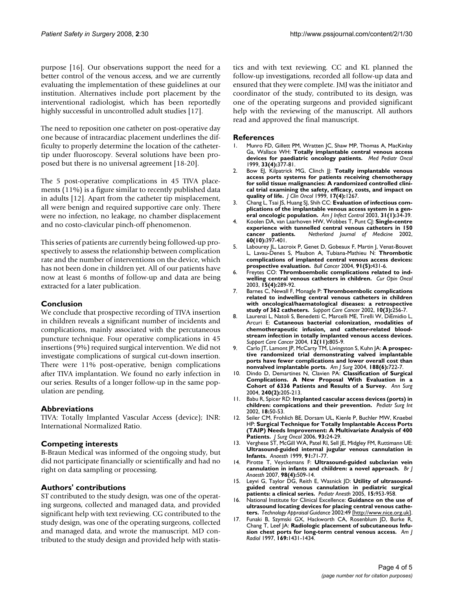purpose [16]. Our observations support the need for a better control of the venous access, and we are currently evaluating the implementation of these guidelines at our institution. Alternatives include port placement by the interventional radiologist, which has been reportedly highly successful in uncontrolled adult studies [17].

The need to reposition one catheter on post-operative day one because of intracardiac placement underlines the difficulty to properly determine the location of the cathetertip under fluoroscopy. Several solutions have been proposed but there is no universal agreement [18-20].

The 5 post-operative complications in 45 TIVA placements (11%) is a figure similar to recently published data in adults [12]. Apart from the catheter tip misplacement, all were benign and required supportive care only. There were no infection, no leakage, no chamber displacement and no costo-clavicular pinch-off phenomenon.

This series of patients are currently being followed-up prospectively to assess the relationship between complication rate and the number of interventions on the device, which has not been done in children yet. All of our patients have now at least 6 months of follow-up and data are being extracted for a later publication.

# **Conclusion**

We conclude that prospective recording of TIVA insertion in children reveals a significant number of incidents and complications, mainly associated with the percutaneous puncture technique. Four operative complications in 45 insertions (9%) required surgical intervention. We did not investigate complications of surgical cut-down insertion. There were 11% post-operative, benign complications after TIVA implantation. We found no early infection in our series. Results of a longer follow-up in the same population are pending.

# **Abbreviations**

TIVA: Totally Implanted Vascular Access (device); INR: International Normalized Ratio.

# **Competing interests**

B-Braun Medical was informed of the ongoing study, but did not participate financially or scientifically and had no right on data sampling or processing.

# **Authors' contributions**

ST contributed to the study design, was one of the operating surgeons, collected and managed data, and provided significant help with text reviewing. CG contributed to the study design, was one of the operating surgeons, collected and managed data, and wrote the manuscript. MD contributed to the study design and provided help with statistics and with text reviewing. CC and KL planned the follow-up investigations, recorded all follow-up data and ensured that they were complete. JMJ was the initiator and coordinator of the study, contributed to its design, was one of the operating surgeons and provided significant help with the reviewing of the manuscript. All authors read and approved the final manuscript.

#### **References**

- 1. Munro FD, Gillett PM, Wratten JC, Shaw MP, Thomas A, MacKinlay Ga, Wallace WH: **[Totally implantable central venous access](http://www.ncbi.nlm.nih.gov/entrez/query.fcgi?cmd=Retrieve&db=PubMed&dopt=Abstract&list_uids=10491546) [devices for paediatric oncology patients.](http://www.ncbi.nlm.nih.gov/entrez/query.fcgi?cmd=Retrieve&db=PubMed&dopt=Abstract&list_uids=10491546)** *Med Pediatr Oncol* 1999, **33(4):**377-81.
- Bow EJ, Kilpatrick MG, Clinch JJ: [Totally implantable venous](http://www.ncbi.nlm.nih.gov/entrez/query.fcgi?cmd=Retrieve&db=PubMed&dopt=Abstract&list_uids=10561188) **[access ports systems for patients receiving chemotherapy](http://www.ncbi.nlm.nih.gov/entrez/query.fcgi?cmd=Retrieve&db=PubMed&dopt=Abstract&list_uids=10561188) for solid tissue malignancies: A randomized controlled clinical trial examining the safety, efficacy, costs, and impact on [quality of life.](http://www.ncbi.nlm.nih.gov/entrez/query.fcgi?cmd=Retrieve&db=PubMed&dopt=Abstract&list_uids=10561188)** *J Clin Oncol* 1999, **17(4):**1267.
- 3. Chang L, Tsai JS, Huang SJ, Shih CC: **[Evaluation of infectious com](http://www.ncbi.nlm.nih.gov/entrez/query.fcgi?cmd=Retrieve&db=PubMed&dopt=Abstract&list_uids=12548255)[plications of the implantable venous access system in a gen](http://www.ncbi.nlm.nih.gov/entrez/query.fcgi?cmd=Retrieve&db=PubMed&dopt=Abstract&list_uids=12548255)[eral oncologic population.](http://www.ncbi.nlm.nih.gov/entrez/query.fcgi?cmd=Retrieve&db=PubMed&dopt=Abstract&list_uids=12548255)** *Am J Infect Control* 2003, **31(1):**34-39.
- 4. Koolen DA, van Laarhoven HW, Wobbes T, Punt CJ: **Single-centre experience with tunnelled central venous catheters in 150 cancer patients.** *Netherland Journal of Medicine* 2002, **60(10):**397-401.
- 5. Labourey JL, Lacroix P, Genet D, Gobeaux F, Martin J, Venat-Bouvet L, Lavau-Denes S, Maubon A, Tubiana-Mathieu N: **[Thrombotic](http://www.ncbi.nlm.nih.gov/entrez/query.fcgi?cmd=Retrieve&db=PubMed&dopt=Abstract&list_uids=15281282) [complications of implanted central venous access devices:](http://www.ncbi.nlm.nih.gov/entrez/query.fcgi?cmd=Retrieve&db=PubMed&dopt=Abstract&list_uids=15281282) [prospective evaluation.](http://www.ncbi.nlm.nih.gov/entrez/query.fcgi?cmd=Retrieve&db=PubMed&dopt=Abstract&list_uids=15281282)** *Bull Cancer* 2004, **91(5):**431-6.
- 6. Freytes CO: **Thromboembolic complications related to indwelling central venous catheters in children.** *Cur Opin Oncol* 2003, **15(4):**289-92.
- 7. Barnes C, Newall F, Monagle P: **[Thromboembolic complications](http://www.ncbi.nlm.nih.gov/entrez/query.fcgi?cmd=Retrieve&db=PubMed&dopt=Abstract&list_uids=11904792) [related to indwelling central venous catheters in children](http://www.ncbi.nlm.nih.gov/entrez/query.fcgi?cmd=Retrieve&db=PubMed&dopt=Abstract&list_uids=11904792) with oncological/haematological diseases: a retrospective [study of 362 catheters.](http://www.ncbi.nlm.nih.gov/entrez/query.fcgi?cmd=Retrieve&db=PubMed&dopt=Abstract&list_uids=11904792)** *Support Care Cancer* 2002, **10(3):**256-7.
- 8. Laurenzi L, Natoli S, Benedetti C, Marcelli ME, Tirelli W, DiEmidio L, Arcuri E: **[Cutaneous bacterial colonization, modalities of](http://www.ncbi.nlm.nih.gov/entrez/query.fcgi?cmd=Retrieve&db=PubMed&dopt=Abstract&list_uids=15372220) [chemotherapeutic infusion, and catheter-related blood](http://www.ncbi.nlm.nih.gov/entrez/query.fcgi?cmd=Retrieve&db=PubMed&dopt=Abstract&list_uids=15372220)stream infection in totally implanted venous access devices.** *Support Care Cancer* 2004, **12(11):**805-9.
- 9. Carlo JT, Lamont JP, McCarty TM, Livingston S, Kuhn JA: **[A prospec](http://www.ncbi.nlm.nih.gov/entrez/query.fcgi?cmd=Retrieve&db=PubMed&dopt=Abstract&list_uids=15619490)[tive randomized trial demonstrating valved implantable](http://www.ncbi.nlm.nih.gov/entrez/query.fcgi?cmd=Retrieve&db=PubMed&dopt=Abstract&list_uids=15619490) ports have fewer complications and lower overall cost than [nonvalved implantable ports.](http://www.ncbi.nlm.nih.gov/entrez/query.fcgi?cmd=Retrieve&db=PubMed&dopt=Abstract&list_uids=15619490)** *Am J Surg* 2004, **188(6):**722-7.
- 10. Dindo D, Demartines N, Clavien PA: **[Classification of Surgical](http://www.ncbi.nlm.nih.gov/entrez/query.fcgi?cmd=Retrieve&db=PubMed&dopt=Abstract&list_uids=15273542) [Complications. A New Proposal With Evaluation in a](http://www.ncbi.nlm.nih.gov/entrez/query.fcgi?cmd=Retrieve&db=PubMed&dopt=Abstract&list_uids=15273542) [Cohort of 6336 Patients and Results of a Survey.](http://www.ncbi.nlm.nih.gov/entrez/query.fcgi?cmd=Retrieve&db=PubMed&dopt=Abstract&list_uids=15273542)** *Ann Surg* 2004, **240(2):**205-213.
- 11. Babu R, Spicer RD: **[Implanted cascular access devices \(ports\) in](http://www.ncbi.nlm.nih.gov/entrez/query.fcgi?cmd=Retrieve&db=PubMed&dopt=Abstract&list_uids=11793064) [children: compications and their prevention.](http://www.ncbi.nlm.nih.gov/entrez/query.fcgi?cmd=Retrieve&db=PubMed&dopt=Abstract&list_uids=11793064)** *Pediatr Surg Int* 2002, **18:**50-53.
- 12. Seiler CM, Frohlich BE, Dorsam UL, Kienle P, Buchler MW, Knaebel HP: **[Surgical Technique for Totally Implantable Access Ports](http://www.ncbi.nlm.nih.gov/entrez/query.fcgi?cmd=Retrieve&db=PubMed&dopt=Abstract&list_uids=16353193) [\(TAIP\) Needs Improvement: A Multivariate Analysis of 400](http://www.ncbi.nlm.nih.gov/entrez/query.fcgi?cmd=Retrieve&db=PubMed&dopt=Abstract&list_uids=16353193) [Patients.](http://www.ncbi.nlm.nih.gov/entrez/query.fcgi?cmd=Retrieve&db=PubMed&dopt=Abstract&list_uids=16353193)** *J Surg Oncol* 2006, **93:**24-29.
- 13. Verghese ST, McGill WA, Patel RI, Sell JE, Midgley FM, Ruttimann UE: **[Ultrasound-guided internal jugular venous cannulation in](http://www.ncbi.nlm.nih.gov/entrez/query.fcgi?cmd=Retrieve&db=PubMed&dopt=Abstract&list_uids=10422930 ) [Infants.](http://www.ncbi.nlm.nih.gov/entrez/query.fcgi?cmd=Retrieve&db=PubMed&dopt=Abstract&list_uids=10422930 )** *Anaesth* 1999, **91:**71-77.
- 14. Pirotte T, Veyckemans F: **[Ultrasound-guided subclavian vein](http://www.ncbi.nlm.nih.gov/entrez/query.fcgi?cmd=Retrieve&db=PubMed&dopt=Abstract&list_uids=17332002) [cannulation in infants and chiildren: a novel approach.](http://www.ncbi.nlm.nih.gov/entrez/query.fcgi?cmd=Retrieve&db=PubMed&dopt=Abstract&list_uids=17332002)** *Br J Anaesth* 2007, **98(4):**509-14.
- 15. Leyvi G, Taylor DG, Reith E, Wasnick JD: Utility of ultrasound**guided central venous cannulation in pediatric surgical patients: a clinical series.** *Pediatr Anesth* 2005, **15:**953-958.
- 16. National Institute for Clinical Excellence: **Guidance on the use of ultrasound locating devices for placing central venous catheters.** *Technology Appraisal Guidance* 2002:49 [[http://www.nice.org.uk\]](http://www.nice.org.uk).
- 17. Funaki B, Szymski GX, Hackworth CA, Rosenblum JD, Burke R, Chang T, Leef JA: **Radiologic placement of subcutaneous Infusion chest ports for long-term central venous access.** *Am J Radiol* 1997, **169:**1431-1434.